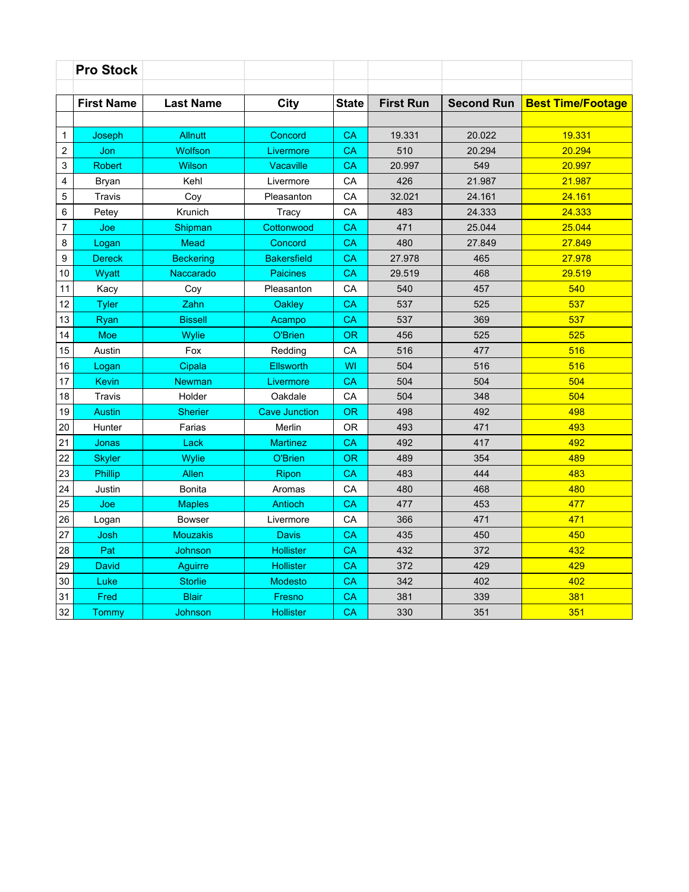|                | <b>Pro Stock</b>  |                  |                      |              |                  |                   |                          |
|----------------|-------------------|------------------|----------------------|--------------|------------------|-------------------|--------------------------|
|                | <b>First Name</b> | <b>Last Name</b> | <b>City</b>          | <b>State</b> | <b>First Run</b> | <b>Second Run</b> | <b>Best Time/Footage</b> |
|                |                   |                  |                      |              |                  |                   |                          |
| $\mathbf{1}$   | Joseph            | <b>Allnutt</b>   | Concord              | CA           | 19.331           | 20.022            | 19.331                   |
| $\overline{c}$ | Jon               | <b>Wolfson</b>   | Livermore            | CA           | 510              | 20.294            | 20.294                   |
| 3              | <b>Robert</b>     | <b>Wilson</b>    | <b>Vacaville</b>     | CA           | 20.997           | 549               | 20.997                   |
| 4              | <b>Bryan</b>      | Kehl             | Livermore            | СA           | 426              | 21.987            | 21.987                   |
| 5              | <b>Travis</b>     | Coy              | Pleasanton           | CA           | 32.021           | 24.161            | 24.161                   |
| 6              | Petey             | Krunich          | Tracy                | CA           | 483              | 24.333            | 24.333                   |
| 7              | Joe               | Shipman          | Cottonwood           | CA           | 471              | 25.044            | 25.044                   |
| 8              | Logan             | <b>Mead</b>      | Concord              | CA           | 480              | 27.849            | 27.849                   |
| 9              | <b>Dereck</b>     | <b>Beckering</b> | <b>Bakersfield</b>   | CA           | 27.978           | 465               | 27.978                   |
| 10             | Wyatt             | Naccarado        | <b>Paicines</b>      | CA           | 29.519           | 468               | 29.519                   |
| 11             | Kacy              | Coy              | Pleasanton           | CA           | 540              | 457               | 540                      |
| 12             | <b>Tyler</b>      | Zahn             | Oakley               | CA           | 537              | 525               | 537                      |
| 13             | Ryan              | <b>Bissell</b>   | Acampo               | CA           | 537              | 369               | 537                      |
| 14             | <b>Moe</b>        | Wylie            | O'Brien              | <b>OR</b>    | 456              | 525               | 525                      |
| 15             | Austin            | Fox              | Redding              | СA           | 516              | 477               | 516                      |
| 16             | Logan             | Cipala           | Ellsworth            | WI           | 504              | 516               | 516                      |
| 17             | <b>Kevin</b>      | <b>Newman</b>    | Livermore            | CA           | 504              | 504               | 504                      |
| 18             | Travis            | Holder           | Oakdale              | CA           | 504              | 348               | 504                      |
| 19             | <b>Austin</b>     | <b>Sherier</b>   | <b>Cave Junction</b> | <b>OR</b>    | 498              | 492               | 498                      |
| 20             | Hunter            | Farias           | Merlin               | 0R           | 493              | 471               | 493                      |
| 21             | Jonas             | Lack             | <b>Martinez</b>      | CA           | 492              | 417               | 492                      |
| 22             | <b>Skyler</b>     | Wylie            | O'Brien              | <b>OR</b>    | 489              | 354               | 489                      |
| 23             | <b>Phillip</b>    | Allen            | Ripon                | CA           | 483              | 444               | 483                      |
| 24             | Justin            | <b>Bonita</b>    | Aromas               | CA           | 480              | 468               | 480                      |
| 25             | Joe               | <b>Maples</b>    | <b>Antioch</b>       | CA           | 477              | 453               | 477                      |
| 26             | Logan             | <b>Bowser</b>    | Livermore            | СA           | 366              | 471               | 471                      |
| 27             | Josh              | <b>Mouzakis</b>  | <b>Davis</b>         | CA           | 435              | 450               | 450                      |
| 28             | Pat               | Johnson          | <b>Hollister</b>     | CA           | 432              | 372               | 432                      |
| 29             | <b>David</b>      | Aguirre          | <b>Hollister</b>     | CA           | 372              | 429               | 429                      |
| 30             | Luke              | <b>Storlie</b>   | <b>Modesto</b>       | CA           | 342              | 402               | 402                      |
| 31             | Fred              | <b>Blair</b>     | Fresno               | CA           | 381              | 339               | 381                      |
| 32             | Tommy             | Johnson          | <b>Hollister</b>     | CA           | 330              | 351               | 351                      |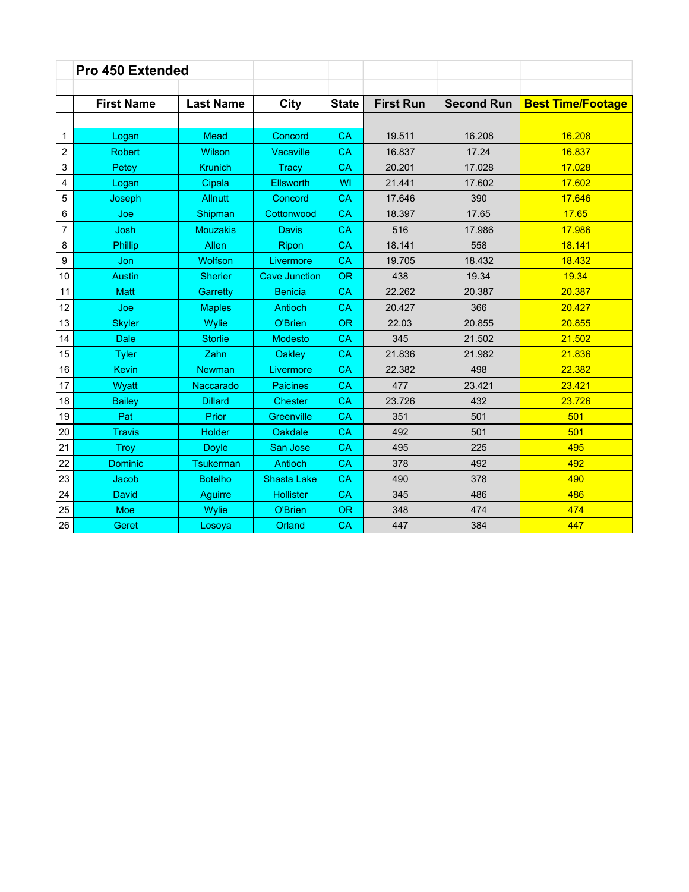|                | <b>Pro 450 Extended</b> |                  |                      |              |                  |                   |                          |
|----------------|-------------------------|------------------|----------------------|--------------|------------------|-------------------|--------------------------|
|                |                         |                  |                      |              |                  |                   |                          |
|                | <b>First Name</b>       | <b>Last Name</b> | City                 | <b>State</b> | <b>First Run</b> | <b>Second Run</b> | <b>Best Time/Footage</b> |
|                |                         |                  |                      |              |                  |                   |                          |
| 1              | Logan                   | Mead             | Concord              | CA           | 19.511           | 16.208            | 16.208                   |
| $\overline{c}$ | <b>Robert</b>           | <b>Wilson</b>    | <b>Vacaville</b>     | CA           | 16.837           | 17.24             | 16.837                   |
| 3              | Petey                   | <b>Krunich</b>   | <b>Tracy</b>         | CA           | 20.201           | 17.028            | 17.028                   |
| 4              | Logan                   | Cipala           | Ellsworth            | WI           | 21.441           | 17.602            | 17.602                   |
| 5              | Joseph                  | <b>Allnutt</b>   | Concord              | CA           | 17.646           | 390               | 17.646                   |
| 6              | Joe                     | Shipman          | Cottonwood           | CA           | 18.397           | 17.65             | 17.65                    |
| $\overline{7}$ | Josh                    | <b>Mouzakis</b>  | Davis                | CA           | 516              | 17.986            | 17.986                   |
| 8              | <b>Phillip</b>          | Allen            | Ripon                | <b>CA</b>    | 18.141           | 558               | 18.141                   |
| 9              | Jon                     | <b>Wolfson</b>   | Livermore            | CA           | 19.705           | 18.432            | 18.432                   |
| 10             | <b>Austin</b>           | <b>Sherier</b>   | <b>Cave Junction</b> | <b>OR</b>    | 438              | 19.34             | 19.34                    |
| 11             | <b>Matt</b>             | Garretty         | <b>Benicia</b>       | CA           | 22.262           | 20.387            | 20.387                   |
| 12             | Joe                     | <b>Maples</b>    | <b>Antioch</b>       | CA           | 20.427           | 366               | 20.427                   |
| 13             | <b>Skyler</b>           | Wylie            | O'Brien              | <b>OR</b>    | 22.03            | 20.855            | 20.855                   |
| 14             | <b>Dale</b>             | <b>Storlie</b>   | <b>Modesto</b>       | <b>CA</b>    | 345              | 21.502            | 21.502                   |
| 15             | <b>Tyler</b>            | Zahn             | <b>Oakley</b>        | CA           | 21.836           | 21.982            | 21.836                   |
| 16             | <b>Kevin</b>            | <b>Newman</b>    | Livermore            | CA           | 22.382           | 498               | 22.382                   |
| 17             | Wyatt                   | Naccarado        | <b>Paicines</b>      | CA           | 477              | 23.421            | 23.421                   |
| 18             | <b>Bailey</b>           | <b>Dillard</b>   | <b>Chester</b>       | CA           | 23.726           | 432               | 23.726                   |
| 19             | Pat                     | Prior            | Greenville           | CA           | 351              | 501               | 501                      |
| 20             | <b>Travis</b>           | <b>Holder</b>    | <b>Oakdale</b>       | CA           | 492              | 501               | 501                      |
| 21             | <b>Trov</b>             | <b>Doyle</b>     | San Jose             | CA           | 495              | 225               | 495                      |
| 22             | <b>Dominic</b>          | Tsukerman        | <b>Antioch</b>       | CA           | 378              | 492               | 492                      |
| 23             | Jacob                   | <b>Botelho</b>   | <b>Shasta Lake</b>   | CA           | 490              | 378               | 490                      |
| 24             | David                   | Aguirre          | <b>Hollister</b>     | <b>CA</b>    | 345              | 486               | 486                      |
| 25             | Moe                     | Wylie            | O'Brien              | <b>OR</b>    | 348              | 474               | 474                      |
| 26             | Geret                   | Losoya           | Orland               | CA           | 447              | 384               | 447                      |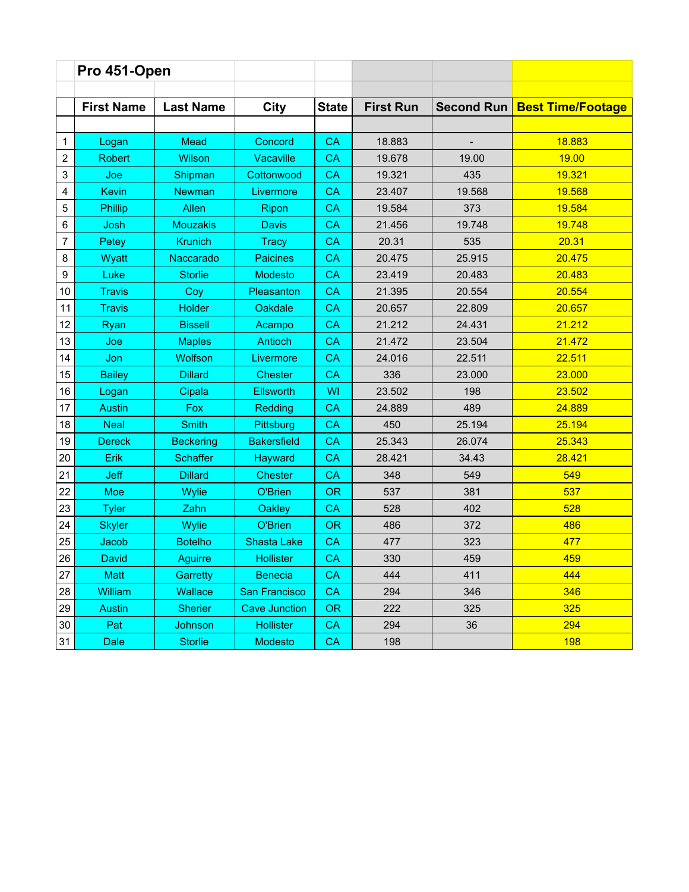|                  | Pro 451-Open      |                  |                      |              |                  |            |                          |
|------------------|-------------------|------------------|----------------------|--------------|------------------|------------|--------------------------|
|                  |                   |                  |                      |              |                  |            |                          |
|                  | <b>First Name</b> | <b>Last Name</b> | City                 | <b>State</b> | <b>First Run</b> | Second Run | <b>Best Time/Footage</b> |
|                  |                   |                  |                      |              |                  |            |                          |
| 1                | Logan             | Mead             | Concord              | <b>CA</b>    | 18.883           |            | 18.883                   |
| $\boldsymbol{2}$ | <b>Robert</b>     | Wilson           | Vacaville            | CA           | 19.678           | 19.00      | 19.00                    |
| 3                | Joe               | Shipman          | Cottonwood           | <b>CA</b>    | 19.321           | 435        | 19.321                   |
| 4                | <b>Kevin</b>      | <b>Newman</b>    | Livermore            | <b>CA</b>    | 23.407           | 19.568     | 19.568                   |
| $\mathbf 5$      | Phillip           | Allen            | Ripon                | <b>CA</b>    | 19.584           | 373        | 19.584                   |
| 6                | Josh              | <b>Mouzakis</b>  | <b>Davis</b>         | <b>CA</b>    | 21.456           | 19.748     | 19.748                   |
| $\overline{7}$   | Petey             | <b>Krunich</b>   | <b>Tracy</b>         | <b>CA</b>    | 20.31            | 535        | 20.31                    |
| 8                | Wyatt             | Naccarado        | <b>Paicines</b>      | <b>CA</b>    | 20.475           | 25.915     | 20.475                   |
| 9                | Luke              | <b>Storlie</b>   | <b>Modesto</b>       | CA           | 23.419           | 20.483     | 20.483                   |
| 10               | <b>Travis</b>     | Coy              | Pleasanton           | CA           | 21.395           | 20.554     | 20.554                   |
| 11               | <b>Travis</b>     | <b>Holder</b>    | Oakdale              | CA           | 20.657           | 22.809     | 20.657                   |
| 12               | Ryan              | <b>Bissell</b>   | Acampo               | <b>CA</b>    | 21.212           | 24.431     | 21.212                   |
| 13               | Joe               | <b>Maples</b>    | Antioch              | CA           | 21.472           | 23.504     | 21.472                   |
| 14               | Jon               | <b>Wolfson</b>   | Livermore            | <b>CA</b>    | 24.016           | 22.511     | 22.511                   |
| 15               | <b>Bailey</b>     | <b>Dillard</b>   | <b>Chester</b>       | CA           | 336              | 23.000     | 23.000                   |
| 16               | Logan             | Cipala           | <b>Ellsworth</b>     | <b>WI</b>    | 23.502           | 198        | 23.502                   |
| 17               | <b>Austin</b>     | Fox              | Redding              | CA           | 24.889           | 489        | 24.889                   |
| 18               | <b>Neal</b>       | <b>Smith</b>     | Pittsburg            | <b>CA</b>    | 450              | 25.194     | 25.194                   |
| 19               | <b>Dereck</b>     | <b>Beckering</b> | <b>Bakersfield</b>   | CA           | 25.343           | 26.074     | 25.343                   |
| 20               | Erik              | <b>Schaffer</b>  | Hayward              | <b>CA</b>    | 28.421           | 34.43      | 28.421                   |
| 21               | <b>Jeff</b>       | <b>Dillard</b>   | <b>Chester</b>       | <b>CA</b>    | 348              | 549        | 549                      |
| 22               | <b>Moe</b>        | Wylie            | O'Brien              | <b>OR</b>    | 537              | 381        | 537                      |
| 23               | <b>Tyler</b>      | Zahn             | <b>Oakley</b>        | CA           | 528              | 402        | 528                      |
| 24               | <b>Skyler</b>     | Wylie            | O'Brien              | <b>OR</b>    | 486              | 372        | 486                      |
| 25               | Jacob             | <b>Botelho</b>   | <b>Shasta Lake</b>   | CA           | 477              | 323        | 477                      |
| 26               | David             | Aguirre          | <b>Hollister</b>     | CA           | 330              | 459        | 459                      |
| 27               | <b>Matt</b>       | Garretty         | <b>Benecia</b>       | CA           | 444              | 411        | 444                      |
| 28               | <b>William</b>    | Wallace          | San Francisco        | <b>CA</b>    | 294              | 346        | 346                      |
| 29               | <b>Austin</b>     | <b>Sherier</b>   | <b>Cave Junction</b> | <b>OR</b>    | 222              | 325        | 325                      |
| 30               | Pat               | Johnson          | <b>Hollister</b>     | <b>CA</b>    | 294              | 36         | 294                      |
| 31               | <b>Dale</b>       | <b>Storlie</b>   | <b>Modesto</b>       | <b>CA</b>    | 198              |            | <b>198</b>               |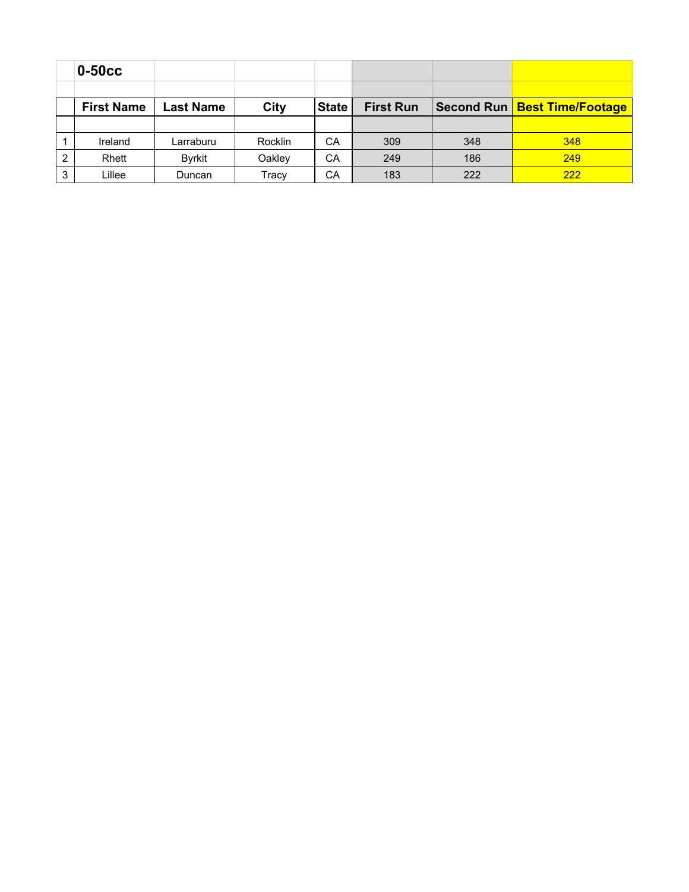|   | $0-50cc$          |                  |         |              |                  |     |     |
|---|-------------------|------------------|---------|--------------|------------------|-----|-----|
|   |                   |                  |         |              |                  |     |     |
|   | <b>First Name</b> | <b>Last Name</b> | City    | <b>State</b> | <b>First Run</b> |     |     |
|   |                   |                  |         |              |                  |     |     |
|   | Ireland           | Larraburu        | Rocklin | CA           | 309              | 348 | 348 |
| 2 | Rhett             | Byrkit           | Oakley  | CA           | 249              | 186 | 249 |
| 3 | Lillee            | Duncan           | Tracy   | CA           | 183              | 222 | 222 |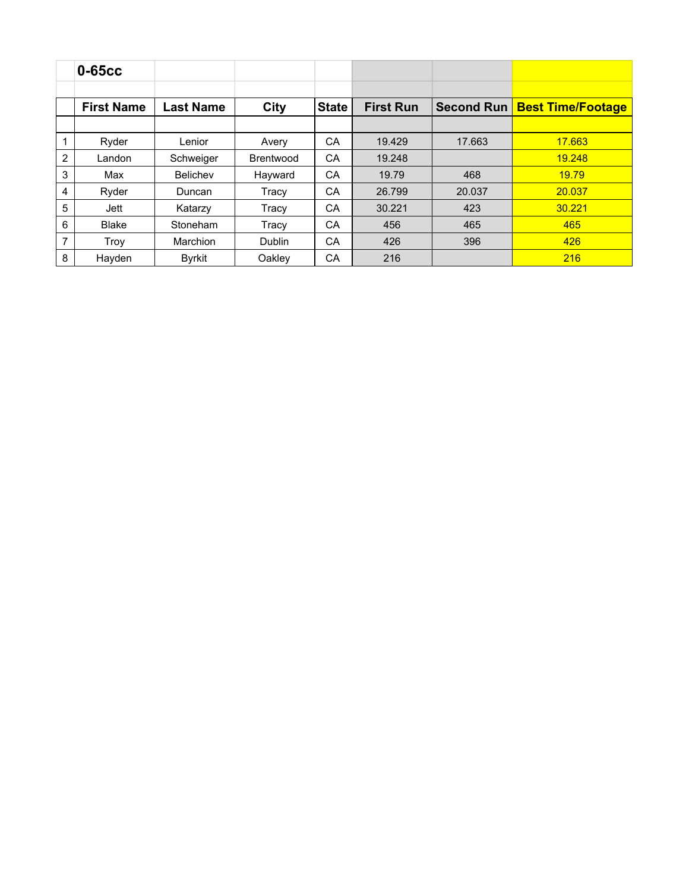|                | $0-65cc$          |                  |                  |              |                  |                   |                          |
|----------------|-------------------|------------------|------------------|--------------|------------------|-------------------|--------------------------|
|                | <b>First Name</b> | <b>Last Name</b> | City             | <b>State</b> | <b>First Run</b> | <b>Second Run</b> | <b>Best Time/Footage</b> |
|                |                   |                  |                  |              |                  |                   |                          |
|                | Ryder             | Lenior           | Avery            | CA           | 19.429           | 17.663            | 17.663                   |
| $\overline{2}$ | Landon            | Schweiger        | <b>Brentwood</b> | CA           | 19.248           |                   | 19.248                   |
| 3              | Max               | <b>Belichev</b>  | Hayward          | CA           | 19.79            | 468               | 19.79                    |
| 4              | Ryder             | Duncan           | Tracy            | CA           | 26.799           | 20.037            | 20.037                   |
| 5              | Jett              | Katarzy          | Tracy            | CA           | 30.221           | 423               | 30.221                   |
| 6              | <b>Blake</b>      | Stoneham         | Tracy            | CA           | 456              | 465               | 465                      |
| 7              | Troy              | <b>Marchion</b>  | <b>Dublin</b>    | CA           | 426              | 396               | 426                      |
| 8              | Hayden            | <b>Byrkit</b>    | Oakley           | CA           | 216              |                   | 216                      |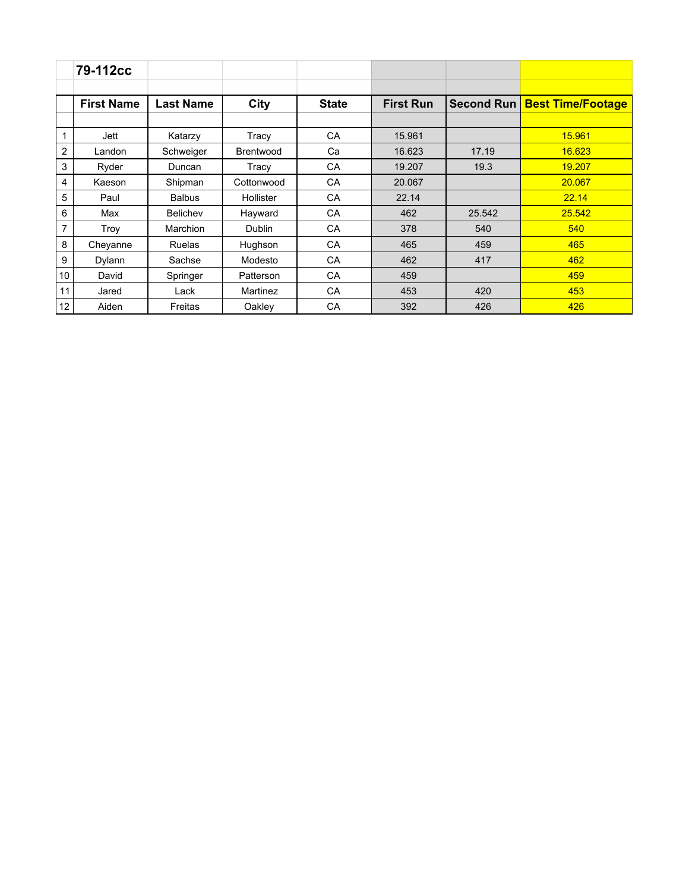|    | 79-112cc          |                  |                  |              |                  |                   |                          |
|----|-------------------|------------------|------------------|--------------|------------------|-------------------|--------------------------|
|    |                   |                  |                  |              |                  |                   |                          |
|    | <b>First Name</b> | <b>Last Name</b> | City             | <b>State</b> | <b>First Run</b> | <b>Second Run</b> | <b>Best Time/Footage</b> |
|    |                   |                  |                  |              |                  |                   |                          |
| 1  | Jett              | Katarzy          | Tracy            | CA           | 15.961           |                   | 15.961                   |
| 2  | Landon            | Schweiger        | <b>Brentwood</b> | Ca           | 16.623           | 17.19             | 16.623                   |
| 3  | Ryder             | Duncan           | Tracy            | CA           | 19.207           | 19.3              | 19.207                   |
| 4  | Kaeson            | Shipman          | Cottonwood       | CA           | 20.067           |                   | 20.067                   |
| 5  | Paul              | <b>Balbus</b>    | Hollister        | CA           | 22.14            |                   | 22.14                    |
| 6  | Max               | <b>Belichev</b>  | Hayward          | CA           | 462              | 25.542            | 25.542                   |
| 7  | Troy              | Marchion         | <b>Dublin</b>    | CA           | 378              | 540               | 540                      |
| 8  | Cheyanne          | <b>Ruelas</b>    | Hughson          | CA           | 465              | 459               | 465                      |
| 9  | Dylann            | Sachse           | Modesto          | CA           | 462              | 417               | 462                      |
| 10 | David             | Springer         | Patterson        | CA           | 459              |                   | 459                      |
| 11 | Jared             | Lack             | Martinez         | CA           | 453              | 420               | 453                      |
| 12 | Aiden             | Freitas          | Oakley           | CA           | 392              | 426               | 426                      |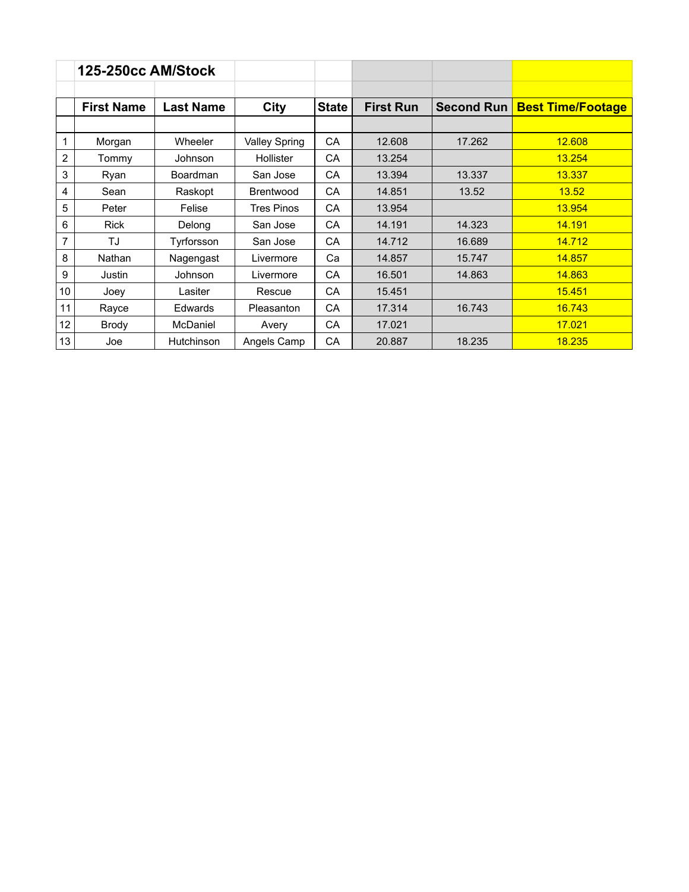|    | <b>125-250cc AM/Stock</b> |                  |                      |              |                  |            |                          |
|----|---------------------------|------------------|----------------------|--------------|------------------|------------|--------------------------|
|    | <b>First Name</b>         | <b>Last Name</b> | <b>City</b>          | <b>State</b> | <b>First Run</b> | Second Run | <b>Best Time/Footage</b> |
|    |                           |                  |                      |              |                  |            |                          |
| 1  | Morgan                    | Wheeler          | <b>Valley Spring</b> | <b>CA</b>    | 12.608           | 17.262     | 12.608                   |
| 2  | Tommy                     | Johnson          | Hollister            | CA           | 13.254           |            | 13.254                   |
| 3  | Ryan                      | Boardman         | San Jose             | CA           | 13.394           | 13.337     | 13.337                   |
| 4  | Sean                      | Raskopt          | <b>Brentwood</b>     | <b>CA</b>    | 14.851           | 13.52      | 13.52                    |
| 5  | Peter                     | Felise           | <b>Tres Pinos</b>    | <b>CA</b>    | 13.954           |            | 13.954                   |
| 6  | <b>Rick</b>               | Delong           | San Jose             | <b>CA</b>    | 14.191           | 14.323     | 14.191                   |
| 7  | TJ                        | Tyrforsson       | San Jose             | CA           | 14.712           | 16.689     | 14.712                   |
| 8  | Nathan                    | Nagengast        | Livermore            | Ca           | 14.857           | 15.747     | 14.857                   |
| 9  | Justin                    | Johnson          | Livermore            | <b>CA</b>    | 16.501           | 14.863     | 14.863                   |
| 10 | Joey                      | Lasiter          | Rescue               | <b>CA</b>    | 15.451           |            | 15.451                   |
| 11 | Rayce                     | Edwards          | Pleasanton           | <b>CA</b>    | 17.314           | 16.743     | 16.743                   |
| 12 | <b>Brody</b>              | McDaniel         | Avery                | <b>CA</b>    | 17.021           |            | 17.021                   |
| 13 | Joe                       | Hutchinson       | Angels Camp          | CA           | 20.887           | 18.235     | 18.235                   |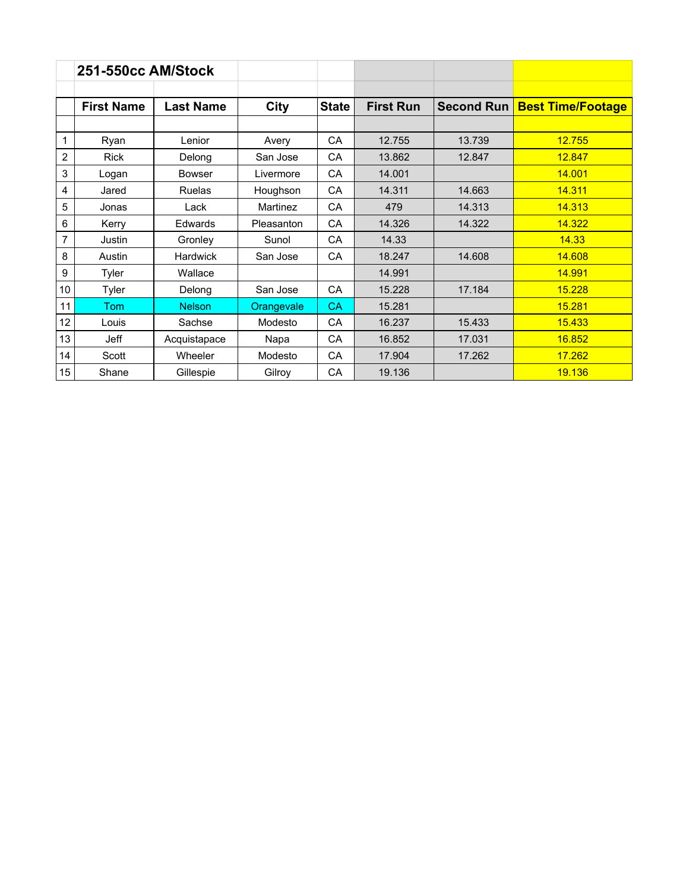|                | 251-550cc AM/Stock |                  |            |              |                  |                   |                          |
|----------------|--------------------|------------------|------------|--------------|------------------|-------------------|--------------------------|
|                | <b>First Name</b>  | <b>Last Name</b> | City       | <b>State</b> | <b>First Run</b> | <b>Second Run</b> | <b>Best Time/Footage</b> |
|                |                    |                  |            |              |                  |                   |                          |
| 1              | Ryan               | Lenior           | Avery      | CA           | 12.755           | 13.739            | 12.755                   |
| $\overline{c}$ | <b>Rick</b>        | Delong           | San Jose   | CA           | 13.862           | 12.847            | 12.847                   |
| 3              | Logan              | <b>Bowser</b>    | Livermore  | CA           | 14.001           |                   | 14.001                   |
| 4              | Jared              | <b>Ruelas</b>    | Houghson   | CA           | 14.311           | 14.663            | 14.311                   |
| 5              | Jonas              | Lack             | Martinez   | CA           | 479              | 14.313            | 14.313                   |
| 6              | Kerry              | Edwards          | Pleasanton | CA           | 14.326           | 14.322            | 14.322                   |
| $\overline{7}$ | Justin             | Gronley          | Sunol      | CA           | 14.33            |                   | 14.33                    |
| 8              | Austin             | <b>Hardwick</b>  | San Jose   | CA           | 18.247           | 14.608            | 14.608                   |
| 9              | Tyler              | Wallace          |            |              | 14.991           |                   | 14.991                   |
| 10             | Tyler              | Delong           | San Jose   | CA           | 15.228           | 17.184            | 15.228                   |
| 11             | <b>Tom</b>         | <b>Nelson</b>    | Orangevale | <b>CA</b>    | 15.281           |                   | 15.281                   |
| 12             | Louis              | Sachse           | Modesto    | CA           | 16.237           | 15.433            | 15.433                   |
| 13             | Jeff               | Acquistapace     | Napa       | CA           | 16.852           | 17.031            | 16.852                   |
| 14             | Scott              | Wheeler          | Modesto    | CA           | 17.904           | 17.262            | 17.262                   |
| 15             | Shane              | Gillespie        | Gilroy     | CA           | 19.136           |                   | 19.136                   |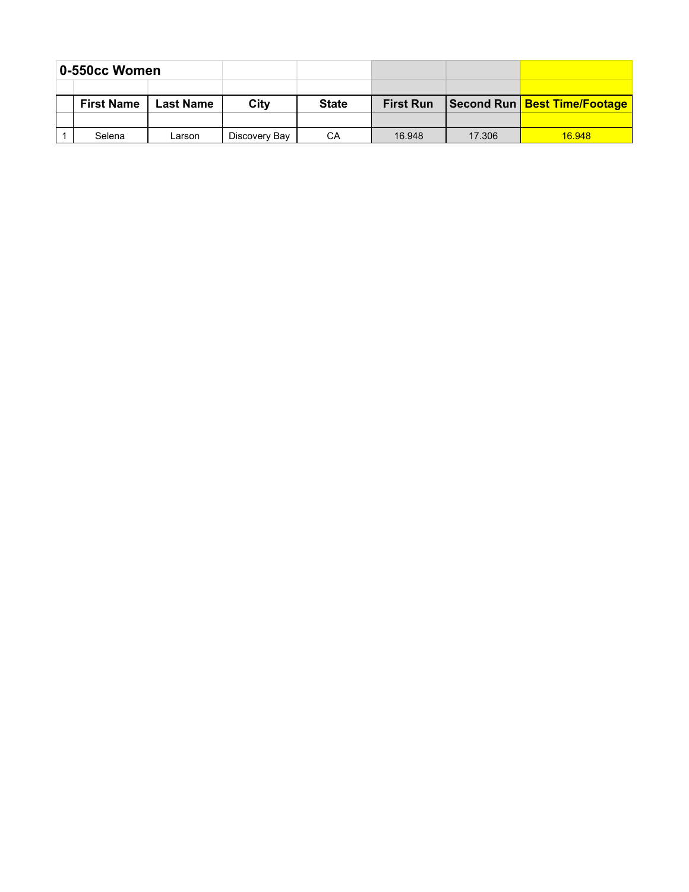| 0-550cc Women |                                       |        |               |              |                  |        |                              |
|---------------|---------------------------------------|--------|---------------|--------------|------------------|--------|------------------------------|
|               |                                       |        |               |              |                  |        |                              |
|               | <b>First Name</b><br><b>Last Name</b> |        | City          | <b>State</b> | <b>First Run</b> |        | Second Run Best Time/Footage |
|               |                                       |        |               |              |                  |        |                              |
|               | Selena                                | Larson | Discovery Bay | CА           | 16.948           | 17.306 | 16.948                       |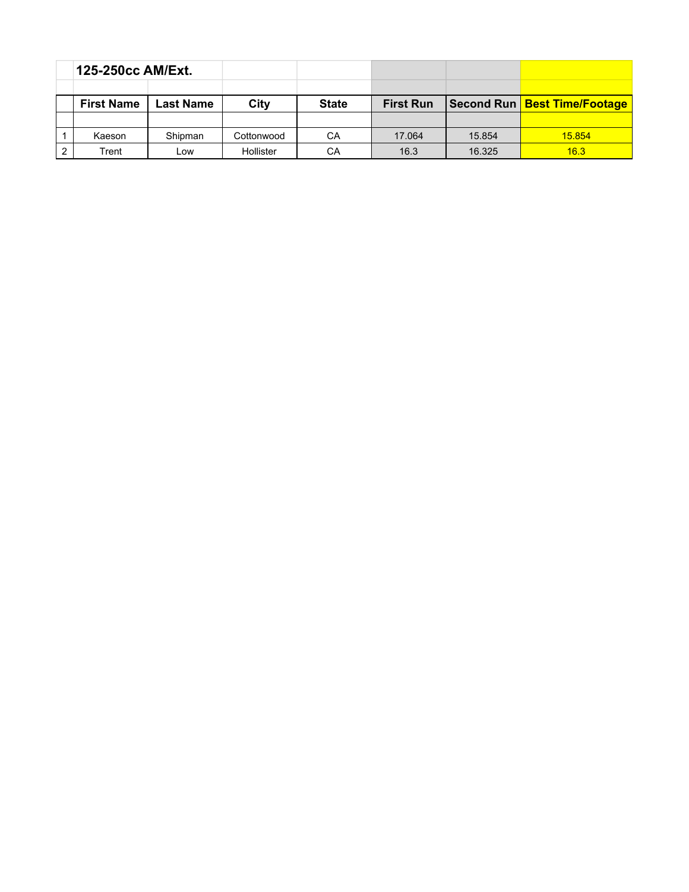| 125-250cc AM/Ext. |                  |            |              |                  |        |               |
|-------------------|------------------|------------|--------------|------------------|--------|---------------|
|                   |                  |            |              |                  |        |               |
| <b>First Name</b> | <b>Last Name</b> | City       | <b>State</b> | <b>First Run</b> |        |               |
|                   |                  |            |              |                  |        |               |
| Kaeson            | Shipman          | Cottonwood | CА           | 17.064           | 15.854 | <b>15.854</b> |
| Trent             | Low              | Hollister  | CА           | 16.3             | 16.325 | 16.3          |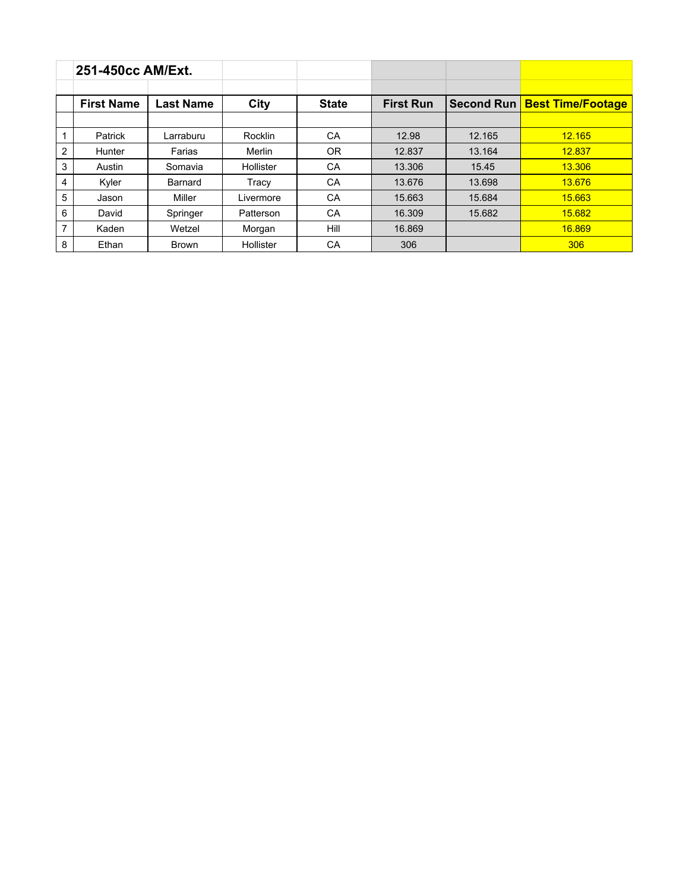|                | 251-450cc AM/Ext. |                  |           |              |                  |            |                          |
|----------------|-------------------|------------------|-----------|--------------|------------------|------------|--------------------------|
|                | <b>First Name</b> | <b>Last Name</b> | City      | <b>State</b> | <b>First Run</b> | Second Run | <b>Best Time/Footage</b> |
|                |                   |                  |           |              |                  |            |                          |
|                | Patrick           | Larraburu        | Rocklin   | CA           | 12.98            | 12.165     | 12.165                   |
| $\overline{2}$ | Hunter            | Farias           | Merlin    | 0R           | 12.837           | 13.164     | 12.837                   |
| 3              | Austin            | Somavia          | Hollister | CA           | 13.306           | 15.45      | 13.306                   |
| 4              | Kyler             | Barnard          | Tracy     | CA           | 13.676           | 13.698     | 13.676                   |
| 5              | Jason             | Miller           | Livermore | CA           | 15.663           | 15.684     | 15.663                   |
| 6              | David             | Springer         | Patterson | CA           | 16.309           | 15.682     | 15.682                   |
| 7              | Kaden             | Wetzel           | Morgan    | Hill         | 16.869           |            | 16.869                   |
| 8              | Ethan             | Brown            | Hollister | СA           | 306              |            | 306                      |